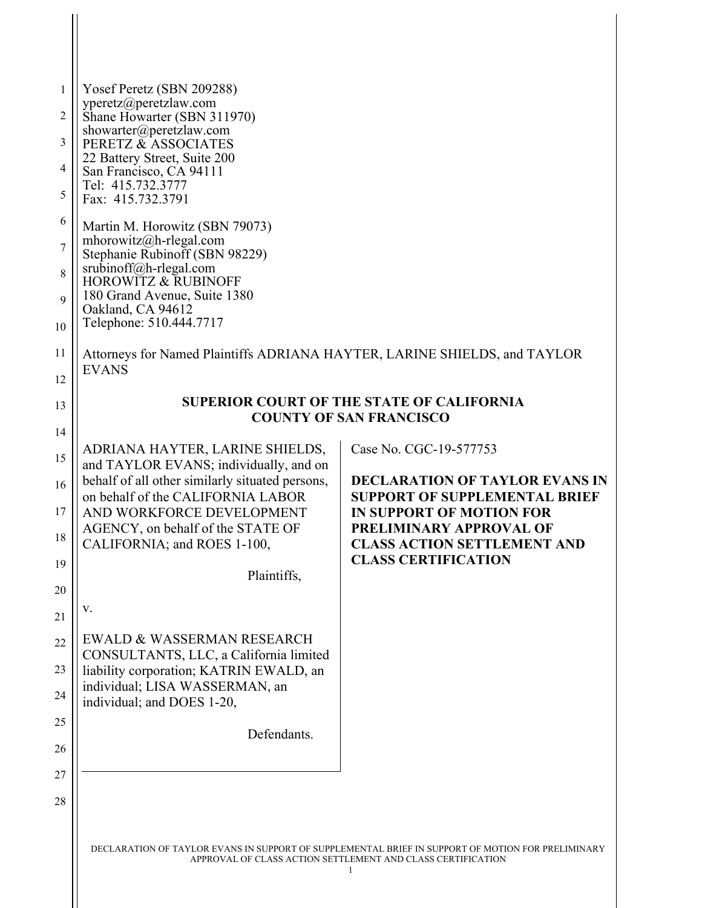| $\mathbf{1}$<br>2<br>3<br>$\overline{4}$<br>5<br>6<br>$\overline{7}$<br>8        | Yosef Peretz (SBN 209288)<br>yperetz@peretzlaw.com<br>Shane Howarter (SBN 311970)<br>showarter@peretzlaw.com<br>PERETZ & ASSOCIATES<br>22 Battery Street, Suite 200<br>San Francisco, CA 94111<br>Tel: 415.732.3777<br>Fax: 415.732.3791<br>Martin M. Horowitz (SBN 79073)<br>mhorowitz@h-rlegal.com<br>Stephanie Rubinoff (SBN 98229)<br>srubinoff@h-rlegal.com<br><b>HOROWITZ &amp; RUBINOFF</b>                                                                                        |                                                                                                                                                                                                                                           |
|----------------------------------------------------------------------------------|-------------------------------------------------------------------------------------------------------------------------------------------------------------------------------------------------------------------------------------------------------------------------------------------------------------------------------------------------------------------------------------------------------------------------------------------------------------------------------------------|-------------------------------------------------------------------------------------------------------------------------------------------------------------------------------------------------------------------------------------------|
| 9<br>10                                                                          | 180 Grand Avenue, Suite 1380<br>Oakland, CA 94612<br>Telephone: 510.444.7717                                                                                                                                                                                                                                                                                                                                                                                                              |                                                                                                                                                                                                                                           |
| 11<br>12                                                                         | Attorneys for Named Plaintiffs ADRIANA HAYTER, LARINE SHIELDS, and TAYLOR<br><b>EVANS</b>                                                                                                                                                                                                                                                                                                                                                                                                 |                                                                                                                                                                                                                                           |
| 13                                                                               | <b>SUPERIOR COURT OF THE STATE OF CALIFORNIA</b><br><b>COUNTY OF SAN FRANCISCO</b>                                                                                                                                                                                                                                                                                                                                                                                                        |                                                                                                                                                                                                                                           |
| 14<br>15<br>16<br>17<br>18<br>19<br>20<br>21<br>22<br>23<br>24<br>25<br>26<br>27 | ADRIANA HAYTER, LARINE SHIELDS,<br>and TAYLOR EVANS; individually, and on<br>behalf of all other similarly situated persons,<br>on behalf of the CALIFORNIA LABOR<br>AND WORKFORCE DEVELOPMENT<br>AGENCY, on behalf of the STATE OF<br>CALIFORNIA; and ROES 1-100,<br>Plaintiffs,<br>V.<br>EWALD & WASSERMAN RESEARCH<br>CONSULTANTS, LLC, a California limited<br>liability corporation; KATRIN EWALD, an<br>individual; LISA WASSERMAN, an<br>individual; and DOES 1-20,<br>Defendants. | Case No. CGC-19-577753<br><b>DECLARATION OF TAYLOR EVANS IN</b><br><b>SUPPORT OF SUPPLEMENTAL BRIEF</b><br><b>IN SUPPORT OF MOTION FOR</b><br>PRELIMINARY APPROVAL OF<br><b>CLASS ACTION SETTLEMENT AND</b><br><b>CLASS CERTIFICATION</b> |
| 28                                                                               |                                                                                                                                                                                                                                                                                                                                                                                                                                                                                           | DECLAR ATION OF TAVI OR EVANS IN SUPPORT OF SUPPLEMENTAL BRIEF IN SUPPORT OF MOTION FOR PRELIMINARV                                                                                                                                       |

 $\mathbf{\mathcal{H}}$ 

DECLARATION OF TAYLOR EVANS IN SUPPORT OF SUPPLEMENTAL BRIEF IN SUPPORT OF MOTION FOR PRELIMINARY APPROVAL OF CLASS ACTION SETTLEMENT AND CLASS CERTIFICATION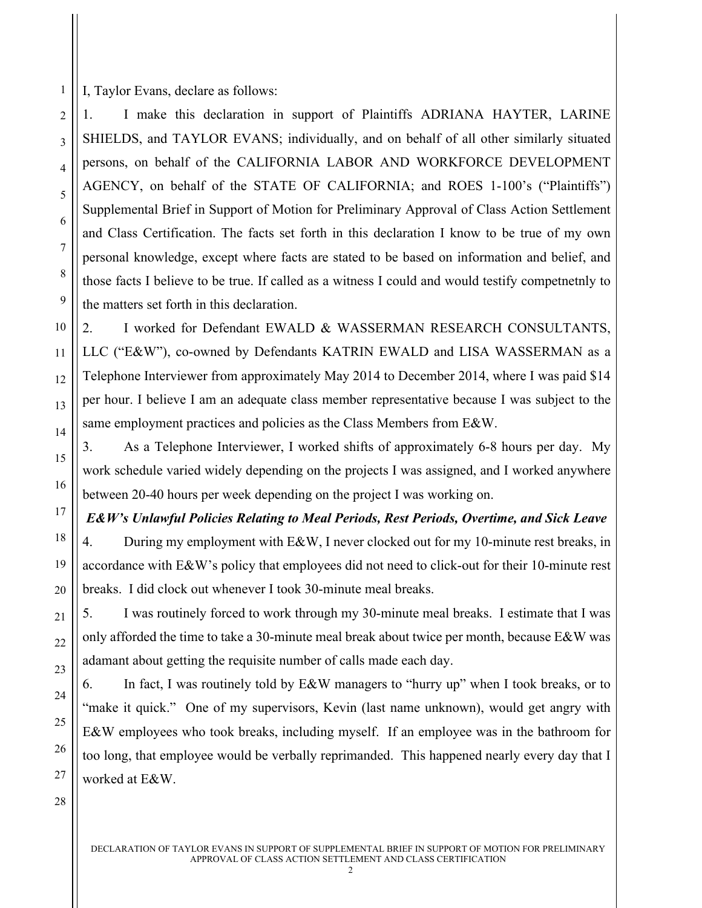I, Taylor Evans, declare as follows:

1

2

3

4

5

6

7

8

9

10

11

12

13

14

15

16

17

18

19

20

21

22

23

24

25

26

27

1. I make this declaration in support of Plaintiffs ADRIANA HAYTER, LARINE SHIELDS, and TAYLOR EVANS; individually, and on behalf of all other similarly situated persons, on behalf of the CALIFORNIA LABOR AND WORKFORCE DEVELOPMENT AGENCY, on behalf of the STATE OF CALIFORNIA; and ROES 1-100's ("Plaintiffs") Supplemental Brief in Support of Motion for Preliminary Approval of Class Action Settlement and Class Certification. The facts set forth in this declaration I know to be true of my own personal knowledge, except where facts are stated to be based on information and belief, and those facts I believe to be true. If called as a witness I could and would testify competnetnly to the matters set forth in this declaration.

2. I worked for Defendant EWALD & WASSERMAN RESEARCH CONSULTANTS, LLC ("E&W"), co-owned by Defendants KATRIN EWALD and LISA WASSERMAN as a Telephone Interviewer from approximately May 2014 to December 2014, where I was paid \$14 per hour. I believe I am an adequate class member representative because I was subject to the same employment practices and policies as the Class Members from E&W.

3. As a Telephone Interviewer, I worked shifts of approximately 6-8 hours per day. My work schedule varied widely depending on the projects I was assigned, and I worked anywhere between 20-40 hours per week depending on the project I was working on.

*E&W's Unlawful Policies Relating to Meal Periods, Rest Periods, Overtime, and Sick Leave*

4. During my employment with E&W, I never clocked out for my 10-minute rest breaks, in accordance with E&W's policy that employees did not need to click-out for their 10-minute rest breaks. I did clock out whenever I took 30-minute meal breaks.

5. I was routinely forced to work through my 30-minute meal breaks. I estimate that I was only afforded the time to take a 30-minute meal break about twice per month, because E&W was adamant about getting the requisite number of calls made each day.

6. In fact, I was routinely told by E&W managers to "hurry up" when I took breaks, or to "make it quick." One of my supervisors, Kevin (last name unknown), would get angry with E&W employees who took breaks, including myself. If an employee was in the bathroom for too long, that employee would be verbally reprimanded. This happened nearly every day that I worked at E&W.

28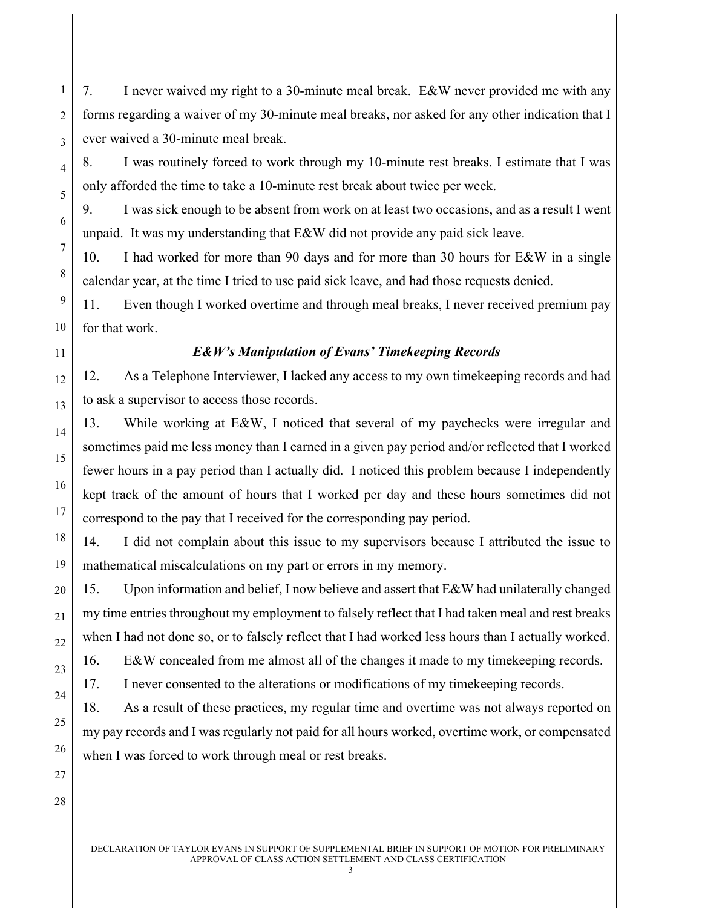7. I never waived my right to a 30-minute meal break. E&W never provided me with any forms regarding a waiver of my 30-minute meal breaks, nor asked for any other indication that I ever waived a 30-minute meal break.

1

2

3

4

5

6

7

8

9

10

11

12

13

14

15

16

17

18

19

20

21

22

23

24

25

26

27

28

8. I was routinely forced to work through my 10-minute rest breaks. I estimate that I was only afforded the time to take a 10-minute rest break about twice per week.

9. I was sick enough to be absent from work on at least two occasions, and as a result I went unpaid. It was my understanding that E&W did not provide any paid sick leave.

10. I had worked for more than 90 days and for more than 30 hours for E&W in a single calendar year, at the time I tried to use paid sick leave, and had those requests denied.

11. Even though I worked overtime and through meal breaks, I never received premium pay for that work.

## *E&W's Manipulation of Evans' Timekeeping Records*

12. As a Telephone Interviewer, I lacked any access to my own timekeeping records and had to ask a supervisor to access those records.

13. While working at E&W, I noticed that several of my paychecks were irregular and sometimes paid me less money than I earned in a given pay period and/or reflected that I worked fewer hours in a pay period than I actually did. I noticed this problem because I independently kept track of the amount of hours that I worked per day and these hours sometimes did not correspond to the pay that I received for the corresponding pay period.

14. I did not complain about this issue to my supervisors because I attributed the issue to mathematical miscalculations on my part or errors in my memory.

15. Upon information and belief, I now believe and assert that E&W had unilaterally changed my time entries throughout my employment to falsely reflect that I had taken meal and rest breaks when I had not done so, or to falsely reflect that I had worked less hours than I actually worked.

16. E&W concealed from me almost all of the changes it made to my timekeeping records.

17. I never consented to the alterations or modifications of my timekeeping records.

18. As a result of these practices, my regular time and overtime was not always reported on my pay records and I was regularly not paid for all hours worked, overtime work, or compensated when I was forced to work through meal or rest breaks.